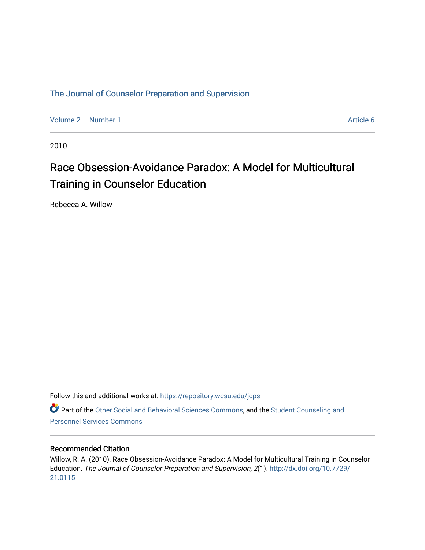### [The Journal of Counselor Preparation and Supervision](https://repository.wcsu.edu/jcps)

[Volume 2](https://repository.wcsu.edu/jcps/vol2) | [Number 1](https://repository.wcsu.edu/jcps/vol2/iss1) Article 6

2010

## Race Obsession-Avoidance Paradox: A Model for Multicultural Training in Counselor Education

Rebecca A. Willow

Follow this and additional works at: [https://repository.wcsu.edu/jcps](https://repository.wcsu.edu/jcps?utm_source=repository.wcsu.edu%2Fjcps%2Fvol2%2Fiss1%2F6&utm_medium=PDF&utm_campaign=PDFCoverPages) 

Part of the [Other Social and Behavioral Sciences Commons](http://network.bepress.com/hgg/discipline/437?utm_source=repository.wcsu.edu%2Fjcps%2Fvol2%2Fiss1%2F6&utm_medium=PDF&utm_campaign=PDFCoverPages), and the [Student Counseling and](http://network.bepress.com/hgg/discipline/802?utm_source=repository.wcsu.edu%2Fjcps%2Fvol2%2Fiss1%2F6&utm_medium=PDF&utm_campaign=PDFCoverPages) [Personnel Services Commons](http://network.bepress.com/hgg/discipline/802?utm_source=repository.wcsu.edu%2Fjcps%2Fvol2%2Fiss1%2F6&utm_medium=PDF&utm_campaign=PDFCoverPages)

#### Recommended Citation

Willow, R. A. (2010). Race Obsession-Avoidance Paradox: A Model for Multicultural Training in Counselor Education. The Journal of Counselor Preparation and Supervision, 2(1). [http://dx.doi.org/10.7729/](http://dx.doi.org/10.7729/21.0115) [21.0115](http://dx.doi.org/10.7729/21.0115)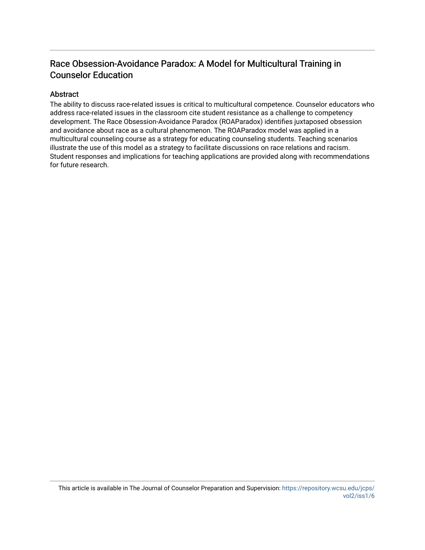## Race Obsession-Avoidance Paradox: A Model for Multicultural Training in Counselor Education

#### Abstract

The ability to discuss race-related issues is critical to multicultural competence. Counselor educators who address race-related issues in the classroom cite student resistance as a challenge to competency development. The Race Obsession-Avoidance Paradox (ROAParadox) identifies juxtaposed obsession and avoidance about race as a cultural phenomenon. The ROAParadox model was applied in a multicultural counseling course as a strategy for educating counseling students. Teaching scenarios illustrate the use of this model as a strategy to facilitate discussions on race relations and racism. Student responses and implications for teaching applications are provided along with recommendations for future research.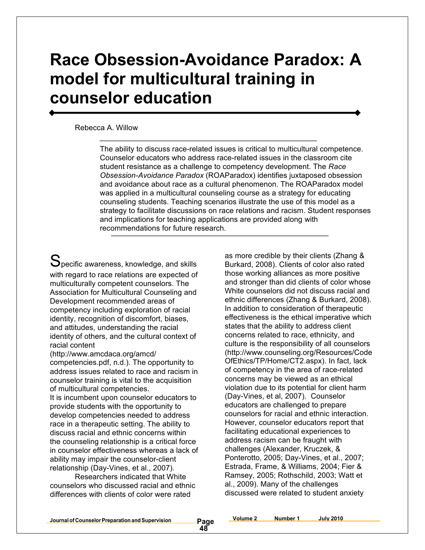# **Race Obsession-Avoidance Paradox: A model for multicultural training in counselor education**

#### Rebecca A. Willow

The ability to discuss race-related issues is critical to multicultural competence. Counselor educators who address race-related issues in the classroom cite student resistance as a challenge to competency development. The *Race Obsession-Avoidance Paradox* (ROAParadox) identifies juxtaposed obsession and avoidance about race as a cultural phenomenon. The ROAParadox model was applied in a multicultural counseling course as a strategy for educating counseling students. Teaching scenarios illustrate the use of this model as a strategy to facilitate discussions on race relations and racism. Student responses and implications for teaching applications are provided along with recommendations for future research.

 $\mathbf S$ pecific awareness, knowledge, and skills with regard to race relations are expected of multiculturally competent counselors. The Association for Multicultural Counseling and Development recommended areas of competency including exploration of racial identity, recognition of discomfort, biases, and attitudes, understanding the racial identity of others, and the cultural context of racial content

(http://www.amcdaca.org/amcd/ competencies.pdf, n.d.). The opportunity to address issues related to race and racism in counselor training is vital to the acquisition of multicultural competencies.

It is incumbent upon counselor educators to provide students with the opportunity to develop competencies needed to address race in a therapeutic setting. The ability to discuss racial and ethnic concerns within the counseling relationship is a critical force in counselor effectiveness whereas a lack of ability may impair the counselor-client relationship (Day-Vines, et al., 2007).

Researchers indicated that White counselors who discussed racial and ethnic differences with clients of color were rated

as more credible by their clients (Zhang & Burkard, 2008). Clients of color also rated those working alliances as more positive and stronger than did clients of color whose White counselors did not discuss racial and ethnic differences (Zhang & Burkard, 2008). In addition to consideration of therapeutic effectiveness is the ethical imperative which states that the ability to address client concerns related to race, ethnicity, and culture is the responsibility of all counselors (http://www.counseling.org/Resources/Code OfEthics/TP/Home/CT2.aspx). In fact, lack of competency in the area of race-related concerns may be viewed as an ethical violation due to its potential for client harm (Day-Vines, et al, 2007). Counselor educators are challenged to prepare counselors for racial and ethnic interaction. However, counselor educators report that facilitating educational experiences to address racism can be fraught with challenges (Alexander, Kruczek, & Ponterotto, 2005; Day-Vines, et al., 2007; Estrada, Frame, & Williams, 2004; Fier & Ramsey, 2005; Rothschild, 2003; Watt et al., 2009). Many of the challenges discussed were related to student anxiety

**Volume 2 Number 1 July 2010**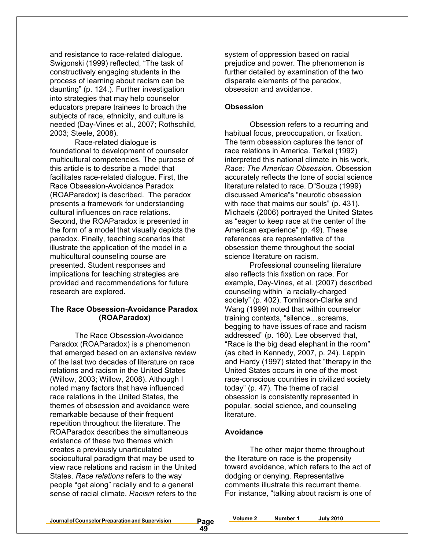and resistance to race-related dialogue. Swigonski (1999) reflected, "The task of constructively engaging students in the process of learning about racism can be daunting" (p. 124.). Further investigation into strategies that may help counselor educators prepare trainees to broach the subjects of race, ethnicity, and culture is needed (Day-Vines et al., 2007; Rothschild, 2003; Steele, 2008).

Race-related dialogue is foundational to development of counselor multicultural competencies. The purpose of this article is to describe a model that facilitates race-related dialogue. First, the Race Obsession-Avoidance Paradox (ROAParadox) is described. The paradox presents a framework for understanding cultural influences on race relations. Second, the ROAParadox is presented in the form of a model that visually depicts the paradox. Finally, teaching scenarios that illustrate the application of the model in a multicultural counseling course are presented. Student responses and implications for teaching strategies are provided and recommendations for future research are explored.

#### **The Race Obsession-Avoidance Paradox (ROAParadox)**

The Race Obsession-Avoidance Paradox (ROAParadox) is a phenomenon that emerged based on an extensive review of the last two decades of literature on race relations and racism in the United States (Willow, 2003; Willow, 2008). Although I noted many factors that have influenced race relations in the United States, the themes of obsession and avoidance were remarkable because of their frequent repetition throughout the literature. The ROAParadox describes the simultaneous existence of these two themes which creates a previously unarticulated sociocultural paradigm that may be used to view race relations and racism in the United States. *Race relations* refers to the way people "get along" racially and to a general sense of racial climate. *Racism* refers to the

system of oppression based on racial prejudice and power. The phenomenon is further detailed by examination of the two disparate elements of the paradox, obsession and avoidance.

#### **Obsession**

Obsession refers to a recurring and habitual focus, preoccupation, or fixation. The term obsession captures the tenor of race relations in America. Terkel (1992) interpreted this national climate in his work, *Race: The American Obsession.* Obsession accurately reflects the tone of social science literature related to race. D"Souza (1999) discussed America"s "neurotic obsession with race that maims our souls" (p. 431). Michaels (2006) portrayed the United States as "eager to keep race at the center of the American experience" (p. 49). These references are representative of the obsession theme throughout the social science literature on racism.

Professional counseling literature also reflects this fixation on race. For example, Day-Vines, et al. (2007) described counseling within "a racially-charged society" (p. 402). Tomlinson-Clarke and Wang (1999) noted that within counselor training contexts, "silence…screams, begging to have issues of race and racism addressed" (p. 160). Lee observed that, "Race is the big dead elephant in the room" (as cited in Kennedy, 2007, p. 24). Lappin and Hardy (1997) stated that "therapy in the United States occurs in one of the most race-conscious countries in civilized society today" (p. 47). The theme of racial obsession is consistently represented in popular, social science, and counseling literature.

#### **Avoidance**

The other major theme throughout the literature on race is the propensity toward avoidance, which refers to the act of dodging or denying. Representative comments illustrate this recurrent theme. For instance, "talking about racism is one of

**Journalof CounselorPreparation andSupervision Page**

**Volume 2 Number 1 July 2010**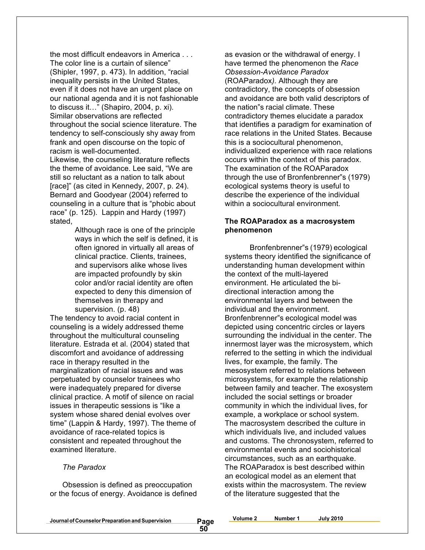the most difficult endeavors in America . . . The color line is a curtain of silence" (Shipler, 1997, p. 473). In addition, "racial inequality persists in the United States, even if it does not have an urgent place on our national agenda and it is not fashionable to discuss it…" (Shapiro, 2004, p. xi). Similar observations are reflected throughout the social science literature. The tendency to self-consciously shy away from frank and open discourse on the topic of racism is well-documented.

Likewise, the counseling literature reflects the theme of avoidance. Lee said, "We are still so reluctant as a nation to talk about [race]" (as cited in Kennedy, 2007, p. 24). Bernard and Goodyear (2004) referred to counseling in a culture that is "phobic about race" (p. 125). Lappin and Hardy (1997) stated,

Although race is one of the principle ways in which the self is defined, it is often ignored in virtually all areas of clinical practice. Clients, trainees, and supervisors alike whose lives are impacted profoundly by skin color and/or racial identity are often expected to deny this dimension of themselves in therapy and supervision. (p. 48)

The tendency to avoid racial content in counseling is a widely addressed theme throughout the multicultural counseling literature. Estrada et al. (2004) stated that discomfort and avoidance of addressing race in therapy resulted in the marginalization of racial issues and was perpetuated by counselor trainees who were inadequately prepared for diverse clinical practice. A motif of silence on racial issues in therapeutic sessions is "like a system whose shared denial evolves over time" (Lappin & Hardy, 1997). The theme of avoidance of race-related topics is consistent and repeated throughout the examined literature.

#### *The Paradox*

Obsession is defined as preoccupation or the focus of energy. Avoidance is defined

as evasion or the withdrawal of energy. I have termed the phenomenon the *Race Obsession-Avoidance Paradox* (ROAParadox*).* Although they are contradictory, the concepts of obsession and avoidance are both valid descriptors of the nation"s racial climate. These contradictory themes elucidate a paradox that identifies a paradigm for examination of race relations in the United States. Because this is a sociocultural phenomenon, individualized experience with race relations occurs within the context of this paradox. The examination of the ROAParadox through the use of Bronfenbrenner"s (1979) ecological systems theory is useful to describe the experience of the individual within a sociocultural environment.

#### **The ROAParadox as a macrosystem phenomenon**

Bronfenbrenner"s (1979) ecological systems theory identified the significance of understanding human development within the context of the multi-layered environment. He articulated the bidirectional interaction among the environmental layers and between the individual and the environment. Bronfenbrenner"s ecological model was depicted using concentric circles or layers surrounding the individual in the center. The innermost layer was the microsystem, which referred to the setting in which the individual lives, for example, the family. The mesosystem referred to relations between microsystems, for example the relationship between family and teacher. The exosystem included the social settings or broader community in which the individual lives, for example, a workplace or school system. The macrosystem described the culture in which individuals live, and included values and customs. The chronosystem, referred to environmental events and sociohistorical circumstances, such as an earthquake. The ROAParadox is best described within an ecological model as an element that exists within the macrosystem. The review of the literature suggested that the

| Journal of Counselor Preparation and Supervision | <b>July 2010</b><br>_Number |  |
|--------------------------------------------------|-----------------------------|--|
| age<br>IJυ                                       |                             |  |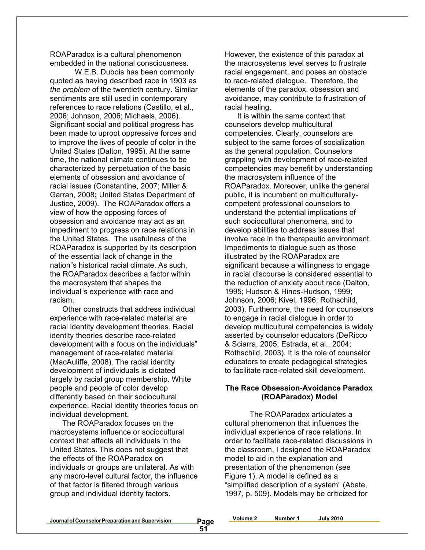ROAParadox is a cultural phenomenon embedded in the national consciousness.

W.E.B. Dubois has been commonly quoted as having described race in 1903 as *the problem* of the twentieth century. Similar sentiments are still used in contemporary references to race relations (Castillo, et al., 2006; Johnson, 2006; Michaels, 2006). Significant social and political progress has been made to uproot oppressive forces and to improve the lives of people of color in the United States (Dalton, 1995). At the same time, the national climate continues to be characterized by perpetuation of the basic elements of obsession and avoidance of racial issues (Constantine, 2007; Miller & Garran, 2008**;** United States Department of Justice, 2009). The ROAParadox offers a view of how the opposing forces of obsession and avoidance may act as an impediment to progress on race relations in the United States. The usefulness of the ROAParadox is supported by its description of the essential lack of change in the nation"s historical racial climate. As such, the ROAParadox describes a factor within the macrosystem that shapes the individual"s experience with race and racism.

Other constructs that address individual experience with race-related material are racial identity development theories. Racial identity theories describe race-related development with a focus on the individuals" management of race-related material (MacAuliffe, 2008). The racial identity development of individuals is dictated largely by racial group membership. White people and people of color develop differently based on their sociocultural experience. Racial identity theories focus on individual development.

The ROAParadox focuses on the macrosystems influence or sociocultural context that affects all individuals in the United States. This does not suggest that the effects of the ROAParadox on individuals or groups are unilateral. As with any macro-level cultural factor, the influence of that factor is filtered through various group and individual identity factors.

However, the existence of this paradox at the macrosystems level serves to frustrate racial engagement, and poses an obstacle to race-related dialogue. Therefore, the elements of the paradox, obsession and avoidance, may contribute to frustration of racial healing.

It is within the same context that counselors develop multicultural competencies. Clearly, counselors are subject to the same forces of socialization as the general population. Counselors grappling with development of race-related competencies may benefit by understanding the macrosystem influence of the ROAParadox. Moreover, unlike the general public, it is incumbent on multiculturallycompetent professional counselors to understand the potential implications of such sociocultural phenomena, and to develop abilities to address issues that involve race in the therapeutic environment. Impediments to dialogue such as those illustrated by the ROAParadox are significant because a willingness to engage in racial discourse is considered essential to the reduction of anxiety about race (Dalton, 1995; Hudson & Hines-Hudson, 1999; Johnson, 2006; Kivel, 1996; Rothschild, 2003). Furthermore, the need for counselors to engage in racial dialogue in order to develop multicultural competencies is widely asserted by counselor educators (DeRicco & Sciarra, 2005; Estrada, et al., 2004; Rothschild, 2003). It is the role of counselor educators to create pedagogical strategies to facilitate race-related skill development.

#### **The Race Obsession-Avoidance Paradox (ROAParadox) Model**

The ROAParadox articulates a cultural phenomenon that influences the individual experience of race relations. In order to facilitate race-related discussions in the classroom, I designed the ROAParadox model to aid in the explanation and presentation of the phenomenon (see Figure 1). A model is defined as a "simplified description of a system" (Abate, 1997, p. 509). Models may be criticized for

**Volume 2 Number 1 July 2010**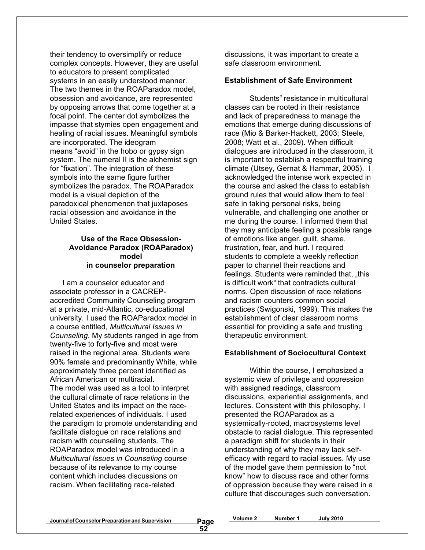their tendency to oversimplify or reduce complex concepts. However, they are useful to educators to present complicated systems in an easily understood manner. The two themes in the ROAParadox model, obsession and avoidance, are represented by opposing arrows that come together at a focal point. The center dot symbolizes the impasse that stymies open engagement and healing of racial issues. Meaningful symbols are incorporated. The ideogram means "avoid" in the hobo or gypsy sign system. The numeral II is the alchemist sign for "fixation". The integration of these symbols into the same figure further symbolizes the paradox. The ROAParadox model is a visual depiction of the paradoxical phenomenon that juxtaposes racial obsession and avoidance in the United States.

#### **Use of the Race Obsession-Avoidance Paradox (ROAParadox) model in counselor preparation**

I am a counselor educator and associate professor in a CACREPaccredited Community Counseling program at a private, mid-Atlantic, co-educational university. I used the ROAParadox model in a course entitled, *Multicultural Issues in Counseling*. My students ranged in age from twenty-five to forty-five and most were raised in the regional area. Students were 90% female and predominantly White, while approximately three percent identified as African American or multiracial. The model was used as a tool to interpret the cultural climate of race relations in the United States and its impact on the racerelated experiences of individuals. I used the paradigm to promote understanding and facilitate dialogue on race relations and racism with counseling students. The ROAParadox model was introduced in a *Multicultural Issues in Counseling* course because of its relevance to my course content which includes discussions on racism. When facilitating race-related

discussions, it was important to create a safe classroom environment.

#### **Establishment of Safe Environment**

Students" resistance in multicultural classes can be rooted in their resistance and lack of preparedness to manage the emotions that emerge during discussions of race (Mio & Barker-Hackett, 2003; Steele, 2008; Watt et al., 2009). When difficult dialogues are introduced in the classroom, it is important to establish a respectful training climate (Utsey, Gernat & Hammar, 2005). I acknowledged the intense work expected in the course and asked the class to establish ground rules that would allow them to feel safe in taking personal risks, being vulnerable, and challenging one another or me during the course. I informed them that they may anticipate feeling a possible range of emotions like anger, guilt, shame, frustration, fear, and hurt. I required students to complete a weekly reflection paper to channel their reactions and feelings. Students were reminded that, "this is difficult work" that contradicts cultural norms. Open discussion of race relations and racism counters common social practices (Swigonski, 1999). This makes the establishment of clear classroom norms essential for providing a safe and trusting therapeutic environment.

#### **Establishment of Sociocultural Context**

Within the course, I emphasized a systemic view of privilege and oppression with assigned readings, classroom discussions, experiential assignments, and lectures. Consistent with this philosophy, I presented the ROAParadox as a systemically-rooted, macrosystems level obstacle to racial dialogue. This represented a paradigm shift for students in their understanding of why they may lack selfefficacy with regard to racial issues. My use of the model gave them permission to "not know" how to discuss race and other forms of oppression because they were raised in a culture that discourages such conversation.

**Journalof CounselorPreparation andSupervision Page**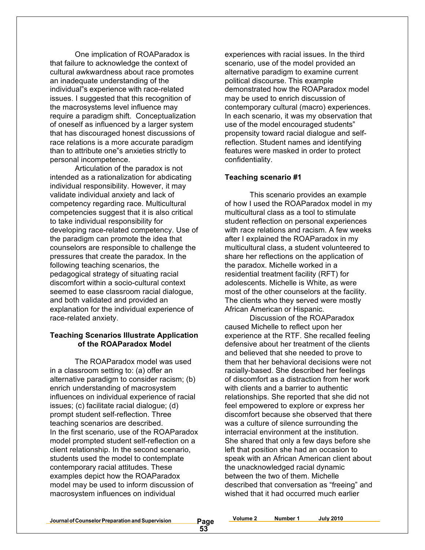One implication of ROAParadox is that failure to acknowledge the context of cultural awkwardness about race promotes an inadequate understanding of the individual"s experience with race-related issues. I suggested that this recognition of the macrosystems level influence may require a paradigm shift. Conceptualization of oneself as influenced by a larger system that has discouraged honest discussions of race relations is a more accurate paradigm than to attribute one"s anxieties strictly to personal incompetence.

Articulation of the paradox is not intended as a rationalization for abdicating individual responsibility. However, it may validate individual anxiety and lack of competency regarding race. Multicultural competencies suggest that it is also critical to take individual responsibility for developing race-related competency. Use of the paradigm can promote the idea that counselors are responsible to challenge the pressures that create the paradox. In the following teaching scenarios, the pedagogical strategy of situating racial discomfort within a socio-cultural context seemed to ease classroom racial dialogue, and both validated and provided an explanation for the individual experience of race-related anxiety.

#### **Teaching Scenarios Illustrate Application of the ROAParadox Model**

The ROAParadox model was used in a classroom setting to: (a) offer an alternative paradigm to consider racism; (b) enrich understanding of macrosystem influences on individual experience of racial issues; (c) facilitate racial dialogue; (d) prompt student self-reflection. Three teaching scenarios are described. In the first scenario, use of the ROAParadox model prompted student self-reflection on a client relationship. In the second scenario, students used the model to contemplate contemporary racial attitudes. These examples depict how the ROAParadox model may be used to inform discussion of macrosystem influences on individual

experiences with racial issues. In the third scenario, use of the model provided an alternative paradigm to examine current political discourse. This example demonstrated how the ROAParadox model may be used to enrich discussion of contemporary cultural (macro) experiences. In each scenario, it was my observation that use of the model encouraged students" propensity toward racial dialogue and selfreflection. Student names and identifying features were masked in order to protect confidentiality.

#### **Teaching scenario #1**

This scenario provides an example of how I used the ROAParadox model in my multicultural class as a tool to stimulate student reflection on personal experiences with race relations and racism. A few weeks after I explained the ROAParadox in my multicultural class, a student volunteered to share her reflections on the application of the paradox. Michelle worked in a residential treatment facility (RFT) for adolescents. Michelle is White, as were most of the other counselors at the facility. The clients who they served were mostly African American or Hispanic.

Discussion of the ROAParadox caused Michelle to reflect upon her experience at the RTF. She recalled feeling defensive about her treatment of the clients and believed that she needed to prove to them that her behavioral decisions were not racially-based. She described her feelings of discomfort as a distraction from her work with clients and a barrier to authentic relationships. She reported that she did not feel empowered to explore or express her discomfort because she observed that there was a culture of silence surrounding the interracial environment at the institution. She shared that only a few days before she left that position she had an occasion to speak with an African American client about the unacknowledged racial dynamic between the two of them. Michelle described that conversation as "freeing" and wished that it had occurred much earlier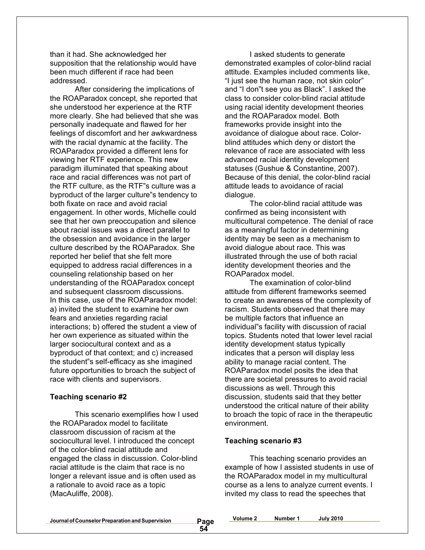than it had. She acknowledged her supposition that the relationship would have been much different if race had been addressed.

After considering the implications of the ROAParadox concept, she reported that she understood her experience at the RTF more clearly. She had believed that she was personally inadequate and flawed for her feelings of discomfort and her awkwardness with the racial dynamic at the facility. The ROAParadox provided a different lens for viewing her RTF experience. This new paradigm illuminated that speaking about race and racial differences was not part of the RTF culture, as the RTF"s culture was a byproduct of the larger culture"s tendency to both fixate on race and avoid racial engagement. In other words, Michelle could see that her own preoccupation and silence about racial issues was a direct parallel to the obsession and avoidance in the larger culture described by the ROAParadox. She reported her belief that she felt more equipped to address racial differences in a counseling relationship based on her understanding of the ROAParadox concept and subsequent classroom discussions. In this case, use of the ROAParadox model: a) invited the student to examine her own fears and anxieties regarding racial interactions; b) offered the student a view of her own experience as situated within the larger sociocultural context and as a byproduct of that context; and c) increased the student"s self-efficacy as she imagined future opportunities to broach the subject of race with clients and supervisors.

#### **Teaching scenario #2**

This scenario exemplifies how I used the ROAParadox model to facilitate classroom discussion of racism at the sociocultural level. I introduced the concept of the color-blind racial attitude and engaged the class in discussion. Color-blind racial attitude is the claim that race is no longer a relevant issue and is often used as a rationale to avoid race as a topic (MacAuliffe, 2008).

I asked students to generate demonstrated examples of color-blind racial attitude. Examples included comments like, "I just see the human race, not skin color" and "I don"t see you as Black". I asked the class to consider color-blind racial attitude using racial identity development theories and the ROAParadox model. Both frameworks provide insight into the avoidance of dialogue about race. Colorblind attitudes which deny or distort the relevance of race are associated with less advanced racial identity development statuses (Gushue & Constantine, 2007). Because of this denial, the color-blind racial attitude leads to avoidance of racial dialogue.

The color-blind racial attitude was confirmed as being inconsistent with multicultural competence. The denial of race as a meaningful factor in determining identity may be seen as a mechanism to avoid dialogue about race. This was illustrated through the use of both racial identity development theories and the ROAParadox model.

The examination of color-blind attitude from different frameworks seemed to create an awareness of the complexity of racism. Students observed that there may be multiple factors that influence an individual"s facility with discussion of racial topics. Students noted that lower level racial identity development status typically indicates that a person will display less ability to manage racial content. The ROAParadox model posits the idea that there are societal pressures to avoid racial discussions as well. Through this discussion, students said that they better understood the critical nature of their ability to broach the topic of race in the therapeutic environment.

#### **Teaching scenario #3**

**54**

This teaching scenario provides an example of how I assisted students in use of the ROAParadox model in my multicultural course as a lens to analyze current events. I invited my class to read the speeches that

**Journal of Counselor Preparation and Supervision** 

| Volume 2 | Number 1 | <b>July 2010</b> |
|----------|----------|------------------|
|          |          |                  |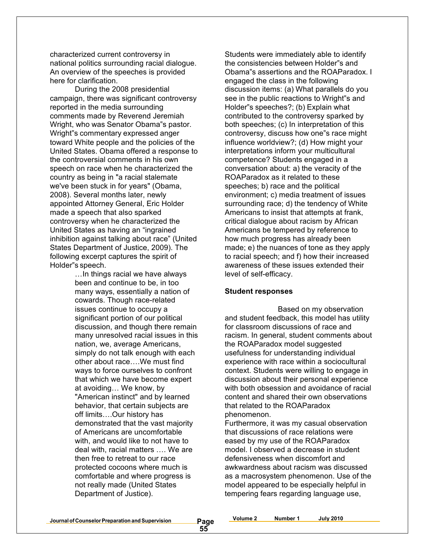characterized current controversy in national politics surrounding racial dialogue. An overview of the speeches is provided here for clarification.

During the 2008 presidential campaign, there was significant controversy reported in the media surrounding comments made by Reverend Jeremiah Wright, who was Senator Obama"s pastor. Wright"s commentary expressed anger toward White people and the policies of the United States. Obama offered a response to the controversial comments in his own speech on race when he characterized the country as being in "a racial stalemate we've been stuck in for years" (Obama, 2008). Several months later, newly appointed Attorney General, Eric Holder made a speech that also sparked controversy when he characterized the United States as having an "ingrained inhibition against talking about race" (United States Department of Justice, 2009). The following excerpt captures the spirit of Holder"s speech.

> …In things racial we have always been and continue to be, in too many ways, essentially a nation of cowards. Though race-related issues continue to occupy a significant portion of our political discussion, and though there remain many unresolved racial issues in this nation, we, average Americans, simply do not talk enough with each other about race….We must find ways to force ourselves to confront that which we have become expert at avoiding… We know, by "American instinct" and by learned behavior, that certain subjects are off limits….Our history has demonstrated that the vast majority of Americans are uncomfortable with, and would like to not have to deal with, racial matters …. We are then free to retreat to our race protected cocoons where much is comfortable and where progress is not really made (United States Department of Justice).

Students were immediately able to identify the consistencies between Holder"s and Obama"s assertions and the ROAParadox. I engaged the class in the following discussion items: (a) What parallels do you see in the public reactions to Wright"s and Holder"s speeches?; (b) Explain what contributed to the controversy sparked by both speeches; (c) In interpretation of this controversy, discuss how one"s race might influence worldview?; (d) How might your interpretations inform your multicultural competence? Students engaged in a conversation about: a) the veracity of the ROAParadox as it related to these speeches; b) race and the political environment; c) media treatment of issues surrounding race; d) the tendency of White Americans to insist that attempts at frank, critical dialogue about racism by African Americans be tempered by reference to how much progress has already been made; e) the nuances of tone as they apply to racial speech; and f) how their increased awareness of these issues extended their level of self-efficacy.

#### **Student responses**

Based on my observation and student feedback, this model has utility for classroom discussions of race and racism. In general, student comments about the ROAParadox model suggested usefulness for understanding individual experience with race within a sociocultural context. Students were willing to engage in discussion about their personal experience with both obsession and avoidance of racial content and shared their own observations that related to the ROAParadox phenomenon.

Furthermore, it was my casual observation that discussions of race relations were eased by my use of the ROAParadox model. I observed a decrease in student defensiveness when discomfort and awkwardness about racism was discussed as a macrosystem phenomenon. Use of the model appeared to be especially helpful in tempering fears regarding language use,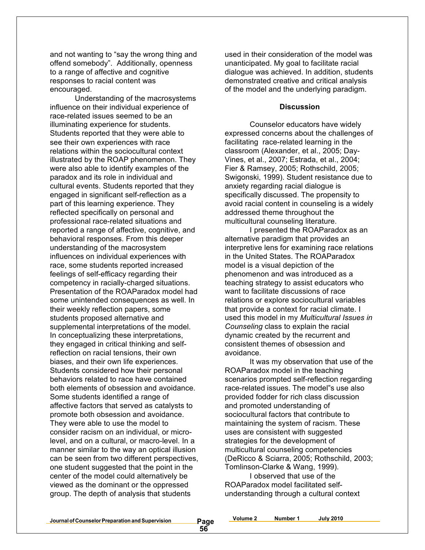and not wanting to "say the wrong thing and offend somebody". Additionally, openness to a range of affective and cognitive responses to racial content was encouraged.

Understanding of the macrosystems influence on their individual experience of race-related issues seemed to be an illuminating experience for students. Students reported that they were able to see their own experiences with race relations within the sociocultural context illustrated by the ROAP phenomenon. They were also able to identify examples of the paradox and its role in individual and cultural events. Students reported that they engaged in significant self-reflection as a part of this learning experience. They reflected specifically on personal and professional race-related situations and reported a range of affective, cognitive, and behavioral responses. From this deeper understanding of the macrosystem influences on individual experiences with race, some students reported increased feelings of self-efficacy regarding their competency in racially-charged situations. Presentation of the ROAParadox model had some unintended consequences as well. In their weekly reflection papers, some students proposed alternative and supplemental interpretations of the model. In conceptualizing these interpretations, they engaged in critical thinking and selfreflection on racial tensions, their own biases, and their own life experiences. Students considered how their personal behaviors related to race have contained both elements of obsession and avoidance. Some students identified a range of affective factors that served as catalysts to promote both obsession and avoidance. They were able to use the model to consider racism on an individual, or microlevel, and on a cultural, or macro-level. In a manner similar to the way an optical illusion can be seen from two different perspectives, one student suggested that the point in the center of the model could alternatively be viewed as the dominant or the oppressed group. The depth of analysis that students

used in their consideration of the model was unanticipated. My goal to facilitate racial dialogue was achieved. In addition, students demonstrated creative and critical analysis of the model and the underlying paradigm.

#### **Discussion**

Counselor educators have widely expressed concerns about the challenges of facilitating race-related learning in the classroom (Alexander, et al., 2005; Day-Vines, et al., 2007; Estrada, et al., 2004; Fier & Ramsey, 2005; Rothschild, 2005; Swigonski, 1999). Student resistance due to anxiety regarding racial dialogue is specifically discussed. The propensity to avoid racial content in counseling is a widely addressed theme throughout the multicultural counseling literature.

I presented the ROAParadox as an alternative paradigm that provides an interpretive lens for examining race relations in the United States. The ROAParadox model is a visual depiction of the phenomenon and was introduced as a teaching strategy to assist educators who want to facilitate discussions of race relations or explore sociocultural variables that provide a context for racial climate. I used this model in my *Multicultural Issues in Counseling* class to explain the racial dynamic created by the recurrent and consistent themes of obsession and avoidance.

It was my observation that use of the ROAParadox model in the teaching scenarios prompted self-reflection regarding race-related issues. The model"s use also provided fodder for rich class discussion and promoted understanding of sociocultural factors that contribute to maintaining the system of racism. These uses are consistent with suggested strategies for the development of multicultural counseling competencies (DeRicco & Sciarra, 2005; Rothschild, 2003; Tomlinson-Clarke & Wang, 1999).

I observed that use of the ROAParadox model facilitated selfunderstanding through a cultural context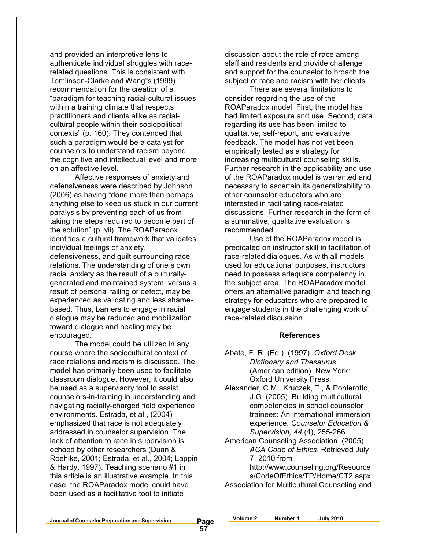and provided an interpretive lens to authenticate individual struggles with racerelated questions. This is consistent with Tomlinson-Clarke and Wang"s (1999) recommendation for the creation of a "paradigm for teaching racial-cultural issues within a training climate that respects practitioners and clients alike as racialcultural people within their sociopolitical contexts" (p. 160). They contended that such a paradigm would be a catalyst for counselors to understand racism beyond the cognitive and intellectual level and more on an affective level.

Affective responses of anxiety and defensiveness were described by Johnson (2006) as having "done more than perhaps anything else to keep us stuck in our current paralysis by preventing each of us from taking the steps required to become part of the solution" (p. vii). The ROAParadox identifies a cultural framework that validates individual feelings of anxiety, defensiveness, and guilt surrounding race relations. The understanding of one"s own racial anxiety as the result of a culturallygenerated and maintained system, versus a result of personal failing or defect, may be experienced as validating and less shamebased. Thus, barriers to engage in racial dialogue may be reduced and mobilization toward dialogue and healing may be encouraged.

The model could be utilized in any course where the sociocultural context of race relations and racism is discussed. The model has primarily been used to facilitate classroom dialogue. However, it could also be used as a supervisory tool to assist counselors-in-training in understanding and navigating racially-charged field experience environments. Estrada, et al., (2004) emphasized that race is not adequately addressed in counselor supervision. The lack of attention to race in supervision is echoed by other researchers (Duan & Roehlke, 2001; Estrada, et al., 2004; Lappin & Hardy, 1997). Teaching scenario #1 in this article is an illustrative example. In this case, the ROAParadox model could have been used as a facilitative tool to initiate

discussion about the role of race among staff and residents and provide challenge and support for the counselor to broach the subject of race and racism with her clients.

There are several limitations to consider regarding the use of the ROAParadox model. First, the model has had limited exposure and use. Second, data regarding its use has been limited to qualitative, self-report, and evaluative feedback. The model has not yet been empirically tested as a strategy for increasing multicultural counseling skills. Further research in the applicability and use of the ROAParadox model is warranted and necessary to ascertain its generalizability to other counselor educators who are interested in facilitating race-related discussions. Further research in the form of a summative, qualitative evaluation is recommended.

Use of the ROAParadox model is predicated on instructor skill in facilitation of race-related dialogues. As with all models used for educational purposes, instructors need to possess adequate competency in the subject area. The ROAParadox model offers an alternative paradigm and teaching strategy for educators who are prepared to engage students in the challenging work of race-related discussion.

#### **References**

- Abate, F. R. (Ed.). (1997). *Oxford Desk Dictionary and Thesaurus*. (American edition). New York: Oxford University Press.
- Alexander, C.M., Kruczek, T., & Ponterotto, J.G. (2005). Building multicultural competencies in school counselor trainees: An international immersion experience. *Counselor Education & Supervision, 44* (4), 255-266.
- American Counseling Association. (2005). *ACA Code of Ethics*. Retrieved July 7, 2010 from

http://www.counseling.org/Resource s/CodeOfEthics/TP/Home/CT2.aspx. Association for Multicultural Counseling and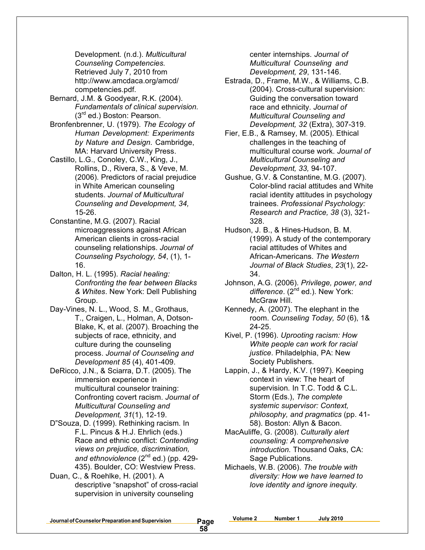Development. (n.d.). *Multicultural Counseling Competencies.* Retrieved July 7, 2010 from http://www.amcdaca.org/amcd/ competencies.pdf.

- Bernard, J.M. & Goodyear, R.K. (2004). *Fundamentals of clinical supervision.* (3rd ed.) Boston: Pearson.
- Bronfenbrenner, U. (1979). *The Ecology of Human Development: Experiments by Nature and Design*. Cambridge, MA: Harvard University Press.
- Castillo, L.G., Conoley, C.W., King, J., Rollins, D., Rivera, S., & Veve, M. (2006). Predictors of racial prejudice in White American counseling students. *Journal of Multicultural Counseling and Development, 34,* 15-26.
- Constantine, M.G. (2007). Racial microaggressions against African American clients in cross-racial counseling relationships. *Journal of Counseling Psychology, 54*, (1), 1- 16.
- Dalton, H. L. (1995). *Racial healing: Confronting the fear between Blacks & Whites*. New York: Dell Publishing Group.
- Day-Vines, N. L., Wood, S. M., Grothaus, T., Craigen, L., Holman, A, Dotson-Blake, K, et al. (2007). Broaching the subjects of race, ethnicity, and culture during the counseling process. *Journal of Counseling and Development 85* (4), 401-409.
- DeRicco, J.N., & Sciarra, D.T. (2005). The immersion experience in multicultural counselor training: Confronting covert racism. *Journal of Multicultural Counseling and Development, 31*(1), 12-19.
- D"Souza, D. (1999). Rethinking racism*.* In F.L. Pincus & H.J. Ehrlich (eds.) Race and ethnic conflict: *Contending views on prejudice, discrimination,* and ethnoviolence (2<sup>nd</sup> ed.) (pp. 429-435). Boulder, CO: Westview Press.
- Duan, C., & Roehlke, H. (2001). A descriptive "snapshot" of cross-racial supervision in university counseling

center internships. *Journal of Multicultural Counseling and Development, 29*, 131-146.

- Estrada, D., Frame, M.W., & Williams, C.B. (2004). Cross-cultural supervision: Guiding the conversation toward race and ethnicity. *Journal of Multicultural Counseling and Development, 32* (Extra), 307-319.
- Fier, E.B., & Ramsey, M. (2005). Ethical challenges in the teaching of multicultural course work. *Journal of Multicultural Counseling and Development, 33,* 94-107.
- Gushue, G.V. & Constantine, M.G. (2007). Color-blind racial attitudes and White racial identity attitudes in psychology trainees. *Professional Psychology: Research and Practice, 38* (3), 321- 328.
- Hudson, J. B., & Hines-Hudson, B. M. (1999). A study of the contemporary racial attitudes of Whites and African-Americans. *The Western Journal of Black Studies*, *23*(1), 22- 34.
- Johnson, A.G. (2006). *Privilege, power, and* difference. (2<sup>nd</sup> ed.). New York: McGraw Hill.
- Kennedy, A. (2007). The elephant in the room. *Counseling Today, 50* (6), 1& 24-25.
- Kivel, P. (1996). *Uprooting racism: How White people can work for racial justice*. Philadelphia, PA: New Society Publishers.
- Lappin, J., & Hardy, K.V. (1997). Keeping context in view: The heart of supervision*.* In T.C. Todd & C.L. Storm (Eds.), *The complete systemic supervisor: Context, philosophy, and pragmatics* (pp. 41- 58). Boston: Allyn & Bacon.
- MacAuliffe, G. (2008). *Culturally alert counseling: A comprehensive introduction.* Thousand Oaks, CA: Sage Publications.
- Michaels, W.B. (2006). *The trouble with diversity: How we have learned to love identity and ignore inequity.*

**Journalof CounselorPreparation andSupervision Page**

**Volume 2 Number 1 July 2010**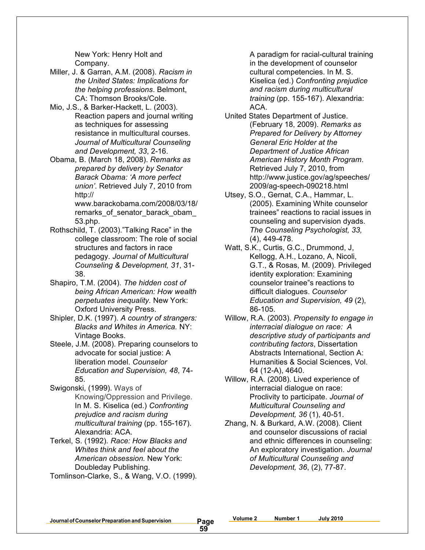New York: Henry Holt and Company.

- Miller, J. & Garran, A.M. (2008). *Racism in the United States: Implications for the helping professions*. Belmont, CA: Thomson Brooks/Cole.
- Mio, J.S., & Barker-Hackett, L. (2003). Reaction papers and journal writing as techniques for assessing resistance in multicultural courses. *Journal of Multicultural Counseling and Development, 33*, 2-16.
- Obama, B. (March 18, 2008). *Remarks as prepared by delivery by Senator Barack Obama: 'A more perfect union'*. Retrieved July 7, 2010 from http://

www.barackobama.com/2008/03/18/ remarks\_of\_senator\_barack\_obam\_ 53.php.

- Rothschild, T. (2003)."Talking Race" in the college classroom: The role of social structures and factors in race pedagogy. *Journal of Multicultural Counseling & Development, 31*, 31- 38.
- Shapiro, T.M. (2004). *The hidden cost of being African American: How wealth perpetuates inequality.* New York: Oxford University Press.
- Shipler, D.K. (1997). *A country of strangers: Blacks and Whites in America.* NY: Vintage Books.
- Steele, J.M. (2008). Preparing counselors to advocate for social justice: A liberation model. *Counselor Education and Supervision, 48*, 74- 85.
- Swigonski, (1999). Ways of Knowing/Oppression and Privilege. In M. S. Kiselica (ed.) *Confronting prejudice and racism during multicultural training* (pp. 155-167). Alexandria: ACA.
- Terkel, S. (1992). *Race: How Blacks and Whites think and feel about the American obsession.* New York: Doubleday Publishing.
- Tomlinson-Clarke, S., & Wang, V.O. (1999).

A paradigm for racial-cultural training in the development of counselor cultural competencies. In M. S. Kiselica (ed.) *Confronting prejudice and racism during multicultural training* (pp. 155-167). Alexandria: ACA.

- United States Department of Justice. (February 18, 2009). *Remarks as Prepared for Delivery by Attorney General Eric Holder at the Department of Justice African American History Month Program*. Retrieved July 7, 2010, from http://www.justice.gov/ag/speeches/ 2009/ag-speech-090218.html
- Utsey, S.O., Gernat, C.A., Hammar, L. (2005). Examining White counselor trainees" reactions to racial issues in counseling and supervision dyads. *The Counseling Psychologist, 33,* (4), 449-478.
- Watt, S.K., Curtis, G.C., Drummond, J, Kellogg, A.H., Lozano, A, Nicoli, G.T., & Rosas, M. (2009). Privileged identity exploration: Examining counselor trainee"s reactions to difficult dialogues. *Counselor Education and Supervision, 49* (2), 86-105.
- Willow, R.A. (2003). *Propensity to engage in interracial dialogue on race: A descriptive study of participants and contributing factors*, Dissertation Abstracts International, Section A: Humanities & Social Sciences, Vol. 64 (12-A), 4640.
- Willow, R.A. (2008). Lived experience of interracial dialogue on race: Proclivity to participate. *Journal of Multicultural Counseling and Development, 36* (1), 40-51.
- Zhang, N. & Burkard, A.W. (2008). Client and counselor discussions of racial and ethnic differences in counseling: An exploratory investigation. *Journal of Multicultural Counseling and Development, 36*, (2), 77-87.

**Journalof CounselorPreparation andSupervision Page**